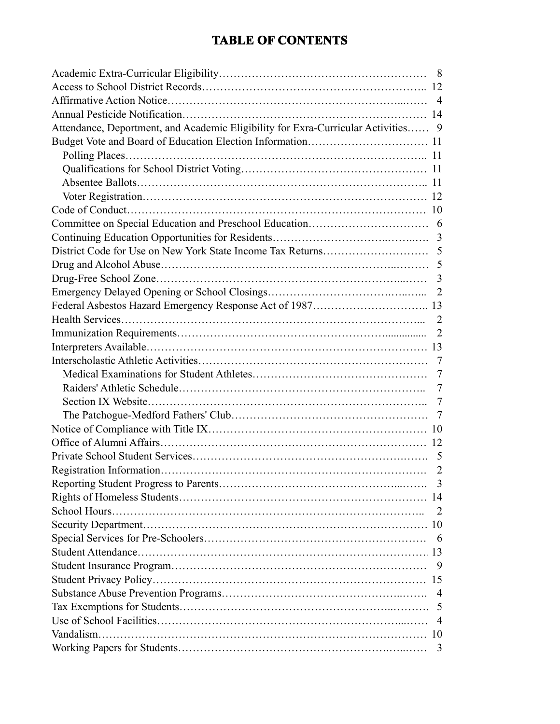### **TABLE OF CONTENTS**

| Attendance, Deportment, and Academic Eligibility for Exra-Curricular Activities 9 |
|-----------------------------------------------------------------------------------|
|                                                                                   |
|                                                                                   |
|                                                                                   |
|                                                                                   |
|                                                                                   |
|                                                                                   |
|                                                                                   |
|                                                                                   |
|                                                                                   |
|                                                                                   |
|                                                                                   |
|                                                                                   |
|                                                                                   |
|                                                                                   |
|                                                                                   |
|                                                                                   |
|                                                                                   |
|                                                                                   |
|                                                                                   |
|                                                                                   |
|                                                                                   |
|                                                                                   |
|                                                                                   |
|                                                                                   |
|                                                                                   |
|                                                                                   |
|                                                                                   |
| -2                                                                                |
|                                                                                   |
|                                                                                   |
|                                                                                   |
|                                                                                   |
|                                                                                   |
|                                                                                   |
|                                                                                   |
|                                                                                   |
|                                                                                   |
|                                                                                   |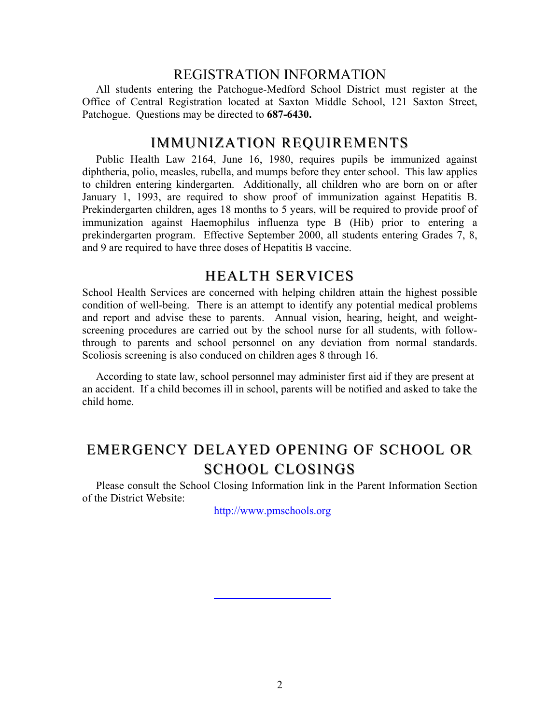#### REGISTRATION INFORMATION

 All students entering the Patchogue-Medford School District must register at the Office of Central Registration located at Saxton Middle School, 121 Saxton Street, Patchogue. Questions may be directed to **687-6430.** 

#### IMMUNIZATION REQUIREMENTS

 Public Health Law 2164, June 16, 1980, requires pupils be immunized against diphtheria, polio, measles, rubella, and mumps before they enter school. This law applies to children entering kindergarten. Additionally, all children who are born on or after January 1, 1993, are required to show proof of immunization against Hepatitis B. Prekindergarten children, ages 18 months to 5 years, will be required to provide proof of immunization against Haemophilus influenza type B (Hib) prior to entering a prekindergarten program. Effective September 2000, all students entering Grades 7, 8, and 9 are required to have three doses of Hepatitis B vaccine.

#### **HEALTH SERVICES**

School Health Services are concerned with helping children attain the highest possible condition of well-being. There is an attempt to identify any potential medical problems and report and advise these to parents. Annual vision, hearing, height, and weightscreening procedures are carried out by the school nurse for all students, with followthrough to parents and school personnel on any deviation from normal standards. Scoliosis screening is also conduced on children ages 8 through 16.

 According to state law, school personnel may administer first aid if they are present at an accident. If a child becomes ill in school, parents will be notified and asked to take the child home.

## EMERGENCY DELAYED OPENING OF SCHOOL OR SCHOOL CLOSINGS

 Please consult the School Closing Information link in the Parent Information Section of the District Website:

http://www.pmschools.org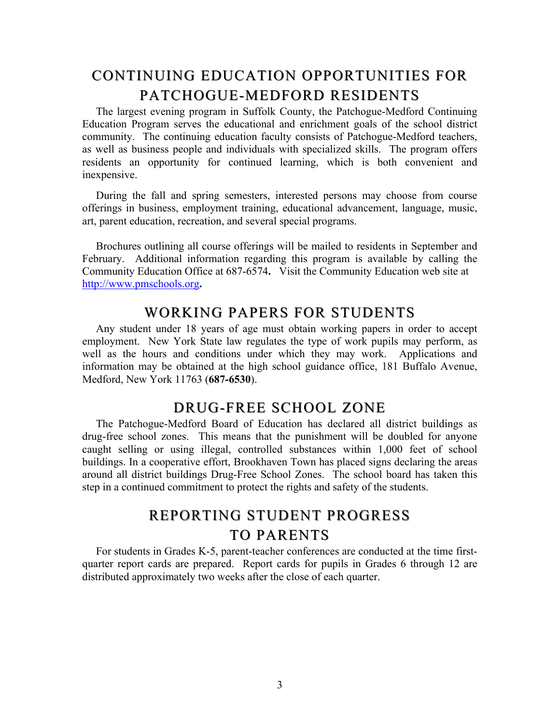## CONTINUING EDUCATION OPPORTUNITIES FOR CONTINUING EDUCATION OPPORTUNITIES FOR PATCHOGUE-MEDFORD RESIDENTS

 The largest evening program in Suffolk County, the Patchogue-Medford Continuing Education Program serves the educational and enrichment goals of the school district community. The continuing education faculty consists of Patchogue-Medford teachers, as well as business people and individuals with specialized skills. The program offers residents an opportunity for continued learning, which is both convenient and inexpensive.

During the fall and spring semesters, interested persons may choose from course offerings in business, employment training, educational advancement, language, music, art, parent education, recreation, and several special programs.

 Brochures outlining all course offerings will be mailed to residents in September and February. Additional information regarding this program is available by calling the Community Education Office at 687-6574**.** Visit the Community Education web site at http://www.pmschools.org**.** 

#### WORKING PAPERS FOR STUDENTS

 Any student under 18 years of age must obtain working papers in order to accept employment. New York State law regulates the type of work pupils may perform, as well as the hours and conditions under which they may work. Applications and information may be obtained at the high school guidance office, 181 Buffalo Avenue, Medford, New York 11763 (**687-6530**).

### DRUG-FREE SCHOOL ZONE

 The Patchogue-Medford Board of Education has declared all district buildings as drug-free school zones. This means that the punishment will be doubled for anyone caught selling or using illegal, controlled substances within 1,000 feet of school buildings. In a cooperative effort, Brookhaven Town has placed signs declaring the areas around all district buildings Drug-Free School Zones. The school board has taken this step in a continued commitment to protect the rights and safety of the students.

## REPORTING STUDENT PROGRESS TO PARENTS

 For students in Grades K-5, parent-teacher conferences are conducted at the time firstquarter report cards are prepared. Report cards for pupils in Grades 6 through 12 are distributed approximately two weeks after the close of each quarter.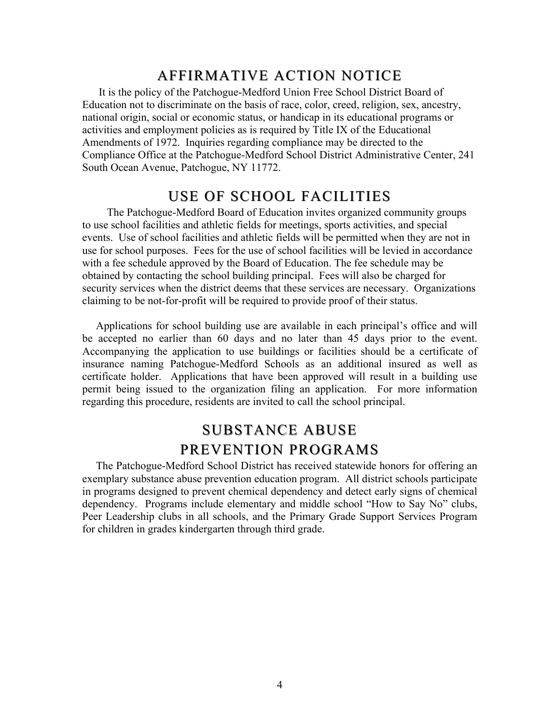### AFFIRMATIVE ACTION NOTICE

 It is the policy of the Patchogue-Medford Union Free School District Board of Education not to discriminate on the basis of race, color, creed, religion, sex, ancestry, national origin, social or economic status, or handicap in its educational programs or activities and employment policies as is required by Title IX of the Educational Amendments of 1972. Inquiries regarding compliance may be directed to the Compliance Office at the Patchogue-Medford School District Administrative Center, 241 South Ocean Avenue, Patchogue, NY 11772.

#### USE OF SCHOOL FACILITIES

 The Patchogue-Medford Board of Education invites organized community groups to use school facilities and athletic fields for meetings, sports activities, and special events. Use of school facilities and athletic fields will be permitted when they are not in use for school purposes. Fees for the use of school facilities will be levied in accordance with a fee schedule approved by the Board of Education. The fee schedule may be obtained by contacting the school building principal. Fees will also be charged for security services when the district deems that these services are necessary. Organizations claiming to be not-for-profit will be required to provide proof of their status.

Applications for school building use are available in each principal's office and will be accepted no earlier than 60 days and no later than 45 days prior to the event. Accompanying the application to use buildings or facilities should be a certificate of insurance naming Patchogue-Medford Schools as an additional insured as well as certificate holder. Applications that have been approved will result in a building use permit being issued to the organization filing an application. For more information regarding this procedure, residents are invited to call the school principal.

## SUBSTANCE ABUSE PREVENTION PROGRAMS

 The Patchogue-Medford School District has received statewide honors for offering an exemplary substance abuse prevention education program. All district schools participate in programs designed to prevent chemical dependency and detect early signs of chemical dependency. Programs include elementary and middle school "How to Say No" clubs, Peer Leadership clubs in all schools, and the Primary Grade Support Services Program for children in grades kindergarten through third grade.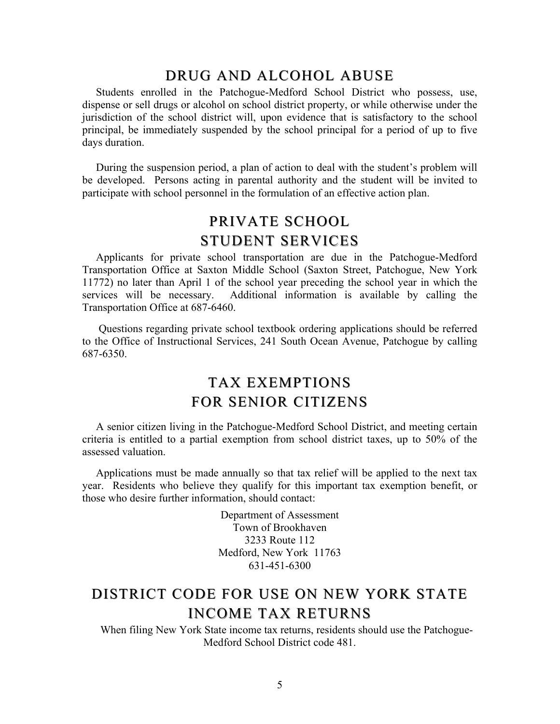### DRUG AND ALCOHOL ABUSE

 Students enrolled in the Patchogue-Medford School District who possess, use, dispense or sell drugs or alcohol on school district property, or while otherwise under the jurisdiction of the school district will, upon evidence that is satisfactory to the school principal, be immediately suspended by the school principal for a period of up to five days duration.

During the suspension period, a plan of action to deal with the student's problem will be developed. Persons acting in parental authority and the student will be invited to participate with school personnel in the formulation of an effective action plan.

## PRIVATE SCHOOL STUDENT SERVICES

 Applicants for private school transportation are due in the Patchogue-Medford Transportation Office at Saxton Middle School (Saxton Street, Patchogue, New York 11772) no later than April 1 of the school year preceding the school year in which the services will be necessary. Additional information is available by calling the Transportation Office at 687-6460.

 Questions regarding private school textbook ordering applications should be referred to the Office of Instructional Services, 241 South Ocean Avenue, Patchogue by calling 687-6350.

## TAX EXEMPTIONS FOR SENIOR CITIZENS FOR SENIOR CITIZENS

 A senior citizen living in the Patchogue-Medford School District, and meeting certain criteria is entitled to a partial exemption from school district taxes, up to 50% of the assessed valuation.

Applications must be made annually so that tax relief will be applied to the next tax year. Residents who believe they qualify for this important tax exemption benefit, or those who desire further information, should contact:

> Department of Assessment Town of Brookhaven 3233 Route 112 Medford, New York 11763 631-451-6300

## INCOME TAX RETURNS DISTRICT CODE FOR USE ON NEW YORK STATE

 When filing New York State income tax returns, residents should use the Patchogue-Medford School District code 481.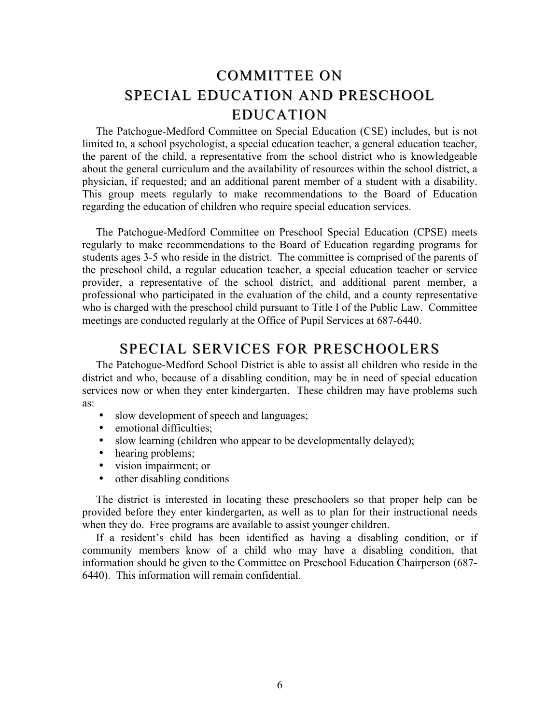## COMMITTEE ON SPECIAL EDUCATION AND PRESCHOOL EDUCATION EDUCATION

 The Patchogue-Medford Committee on Special Education (CSE) includes, but is not limited to, a school psychologist, a special education teacher, a general education teacher, the parent of the child, a representative from the school district who is knowledgeable about the general curriculum and the availability of resources within the school district, a physician, if requested; and an additional parent member of a student with a disability. This group meets regularly to make recommendations to the Board of Education regarding the education of children who require special education services.

The Patchogue-Medford Committee on Preschool Special Education (CPSE) meets regularly to make recommendations to the Board of Education regarding programs for students ages 3-5 who reside in the district. The committee is comprised of the parents of the preschool child, a regular education teacher, a special education teacher or service provider, a representative of the school district, and additional parent member, a professional who participated in the evaluation of the child, and a county representative who is charged with the preschool child pursuant to Title I of the Public Law. Committee meetings are conducted regularly at the Office of Pupil Services at 687-6440.

#### SPECIAL SERVICES FOR PRESCHOOLERS

 The Patchogue-Medford School District is able to assist all children who reside in the district and who, because of a disabling condition, may be in need of special education services now or when they enter kindergarten. These children may have problems such as:

- slow development of speech and languages;
- emotional difficulties:
- slow learning (children who appear to be developmentally delayed);
- hearing problems;
- vision impairment; or<br>• other disabling condition
- other disabling conditions

The district is interested in locating these preschoolers so that proper help can be provided before they enter kindergarten, as well as to plan for their instructional needs when they do. Free programs are available to assist younger children.

 If a resident's child has been identified as having a disabling condition, or if community members know of a child who may have a disabling condition, that information should be given to the Committee on Preschool Education Chairperson (687- 6440). This information will remain confidential.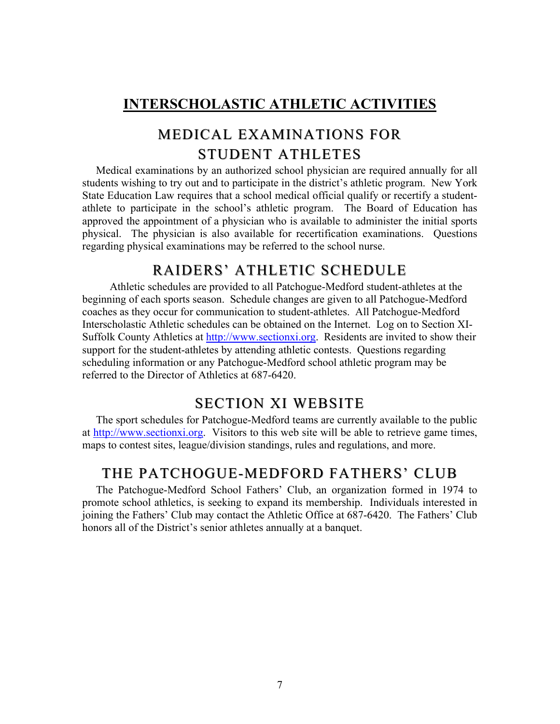## **INTERSCHOLASTIC ATHLETIC ACTIVITIES**

## STUDENT ATHLETES MEDICALEXAMINATIONS FOR

 Medical examinations by an authorized school physician are required annually for all students wishing to try out and to participate in the district's athletic program. New York State Education Law requires that a school medical official qualify or recertify a studentathlete to participate in the school's athletic program. The Board of Education has approved the appointment of a physician who is available to administer the initial sports physical. The physician is also available for recertification examinations. Questions regarding physical examinations may be referred to the school nurse.

## RAIDERS' ATHLETIC SCHEDULE

 Athletic schedules are provided to all Patchogue-Medford student-athletes at the beginning of each sports season. Schedule changes are given to all Patchogue-Medford coaches as they occur for communication to student-athletes. All Patchogue-Medford Interscholastic Athletic schedules can be obtained on the Internet. Log on to Section XI-Suffolk County Athletics at http://www.sectionxi.org. Residents are invited to show their support for the student-athletes by attending athletic contests. Questions regarding scheduling information or any Patchogue-Medford school athletic program may be referred to the Director of Athletics at 687-6420.

## **SECTION XI WEBSITE**

 The sport schedules for Patchogue-Medford teams are currently available to the public at http://www.sectionxi.org. Visitors to this web site will be able to retrieve game times, maps to contest sites, league/division standings, rules and regulations, and more.

### THE PATCHOGUE-MEDFORD FATHERS' CLUB

 The Patchogue-Medford School Fathers' Club, an organization formed in 1974 to promote school athletics, is seeking to expand its membership. Individuals interested in joining the Fathers' Club may contact the Athletic Office at 687-6420. The Fathers' Club honors all of the District's senior athletes annually at a banquet.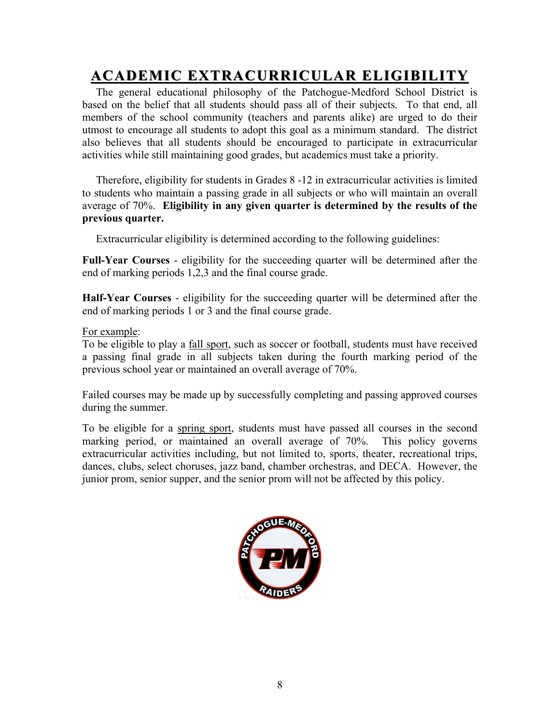# **ACADEMIC ACADEMIC EXTRACURRICULAR EXTRACURRICULAR ELIGIBILITY ELIGIBILITY**

 The general educational philosophy of the Patchogue-Medford School District is based on the belief that all students should pass all of their subjects. To that end, all members of the school community (teachers and parents alike) are urged to do their utmost to encourage all students to adopt this goal as a minimum standard. The district also believes that all students should be encouraged to participate in extracurricular activities while still maintaining good grades, but academics must take a priority.

 Therefore, eligibility for students in Grades 8 -12 in extracurricular activities is limited to students who maintain a passing grade in all subjects or who will maintain an overall average of 70%. **Eligibility in any given quarter is determined by the results of the previous quarter.** 

Extracurricular eligibility is determined according to the following guidelines:

**Full-Year Courses** - eligibility for the succeeding quarter will be determined after the end of marking periods 1,2,3 and the final course grade.

**Half-Year Courses** - eligibility for the succeeding quarter will be determined after the end of marking periods 1 or 3 and the final course grade.

#### For example:

To be eligible to play a fall sport, such as soccer or football, students must have received a passing final grade in all subjects taken during the fourth marking period of the previous school year or maintained an overall average of 70%.

Failed courses may be made up by successfully completing and passing approved courses during the summer.

To be eligible for a spring sport, students must have passed all courses in the second marking period, or maintained an overall average of 70%. This policy governs extracurricular activities including, but not limited to, sports, theater, recreational trips, dances, clubs, select choruses, jazz band, chamber orchestras, and DECA. However, the junior prom, senior supper, and the senior prom will not be affected by this policy.

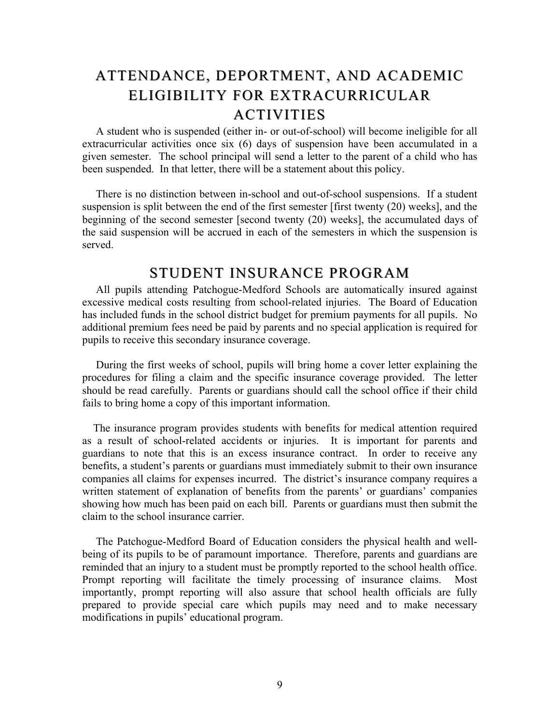## ATTENDANCE, DEPORTMENT, AND ACADEMIC ELIGIBILITY FOR EXTRACURRICULAR **ACTIVITIES**

 A student who is suspended (either in- or out-of-school) will become ineligible for all extracurricular activities once six (6) days of suspension have been accumulated in a given semester. The school principal will send a letter to the parent of a child who has been suspended. In that letter, there will be a statement about this policy.

 There is no distinction between in-school and out-of-school suspensions. If a student suspension is split between the end of the first semester [first twenty (20) weeks], and the beginning of the second semester [second twenty (20) weeks], the accumulated days of the said suspension will be accrued in each of the semesters in which the suspension is served.

#### STUDENT INSURANCE PROGRAM

 All pupils attending Patchogue-Medford Schools are automatically insured against excessive medical costs resulting from school-related injuries. The Board of Education has included funds in the school district budget for premium payments for all pupils. No additional premium fees need be paid by parents and no special application is required for pupils to receive this secondary insurance coverage.

 During the first weeks of school, pupils will bring home a cover letter explaining the procedures for filing a claim and the specific insurance coverage provided. The letter should be read carefully. Parents or guardians should call the school office if their child fails to bring home a copy of this important information.

 guardians to note that this is an excess insurance contract. In order to receive any The insurance program provides students with benefits for medical attention required as a result of school-related accidents or injuries. It is important for parents and benefits, a student's parents or guardians must immediately submit to their own insurance companies all claims for expenses incurred. The district's insurance company requires a written statement of explanation of benefits from the parents' or guardians' companies showing how much has been paid on each bill. Parents or guardians must then submit the claim to the school insurance carrier.

 The Patchogue-Medford Board of Education considers the physical health and wellbeing of its pupils to be of paramount importance. Therefore, parents and guardians are reminded that an injury to a student must be promptly reported to the school health office. Prompt reporting will facilitate the timely processing of insurance claims. Most importantly, prompt reporting will also assure that school health officials are fully prepared to provide special care which pupils may need and to make necessary modifications in pupils' educational program.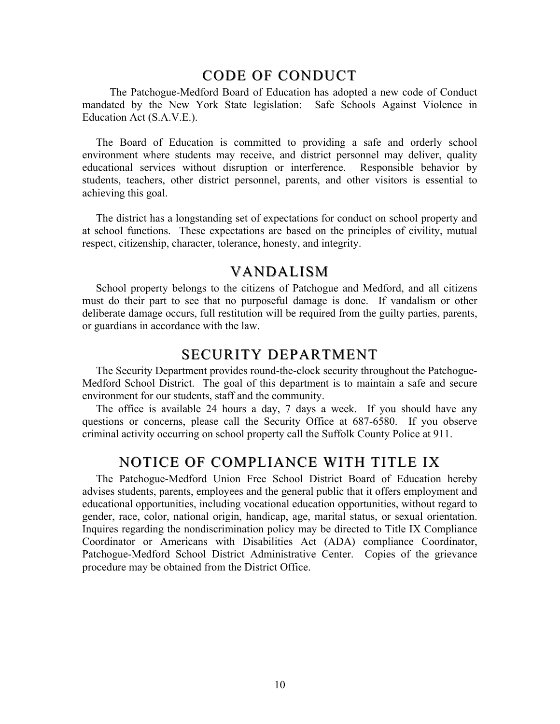### CODE OF CONDUCT

 The Patchogue-Medford Board of Education has adopted a new code of Conduct mandated by the New York State legislation: Safe Schools Against Violence in Education Act (S.A.V.E.).

The Board of Education is committed to providing a safe and orderly school environment where students may receive, and district personnel may deliver, quality educational services without disruption or interference. Responsible behavior by students, teachers, other district personnel, parents, and other visitors is essential to achieving this goal.

The district has a longstanding set of expectations for conduct on school property and at school functions. These expectations are based on the principles of civility, mutual respect, citizenship, character, tolerance, honesty, and integrity.

#### VANDALISM

 School property belongs to the citizens of Patchogue and Medford, and all citizens must do their part to see that no purposeful damage is done. If vandalism or other deliberate damage occurs, full restitution will be required from the guilty parties, parents, or guardians in accordance with the law.

#### SECURITY DEPARTMENT

 The Security Department provides round-the-clock security throughout the Patchogue-Medford School District. The goal of this department is to maintain a safe and secure environment for our students, staff and the community.

 The office is available 24 hours a day, 7 days a week. If you should have any questions or concerns, please call the Security Office at 687-6580. If you observe criminal activity occurring on school property call the Suffolk County Police at 911.

### NOTICE OF COMPLIANCE WITH TITLE IX

 The Patchogue-Medford Union Free School District Board of Education hereby advises students, parents, employees and the general public that it offers employment and educational opportunities, including vocational education opportunities, without regard to gender, race, color, national origin, handicap, age, marital status, or sexual orientation. Inquires regarding the nondiscrimination policy may be directed to Title IX Compliance Coordinator or Americans with Disabilities Act (ADA) compliance Coordinator, Patchogue-Medford School District Administrative Center. Copies of the grievance procedure may be obtained from the District Office.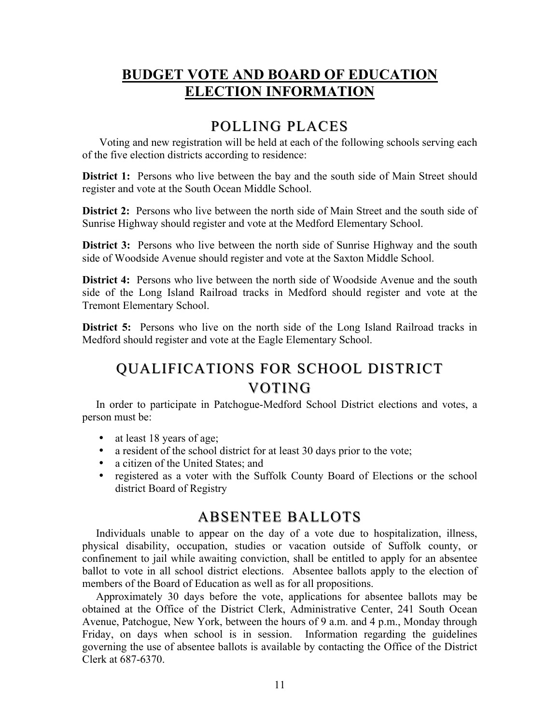## **BUDGET VOTE AND BOARD OF EDUCATION ELECTION INFORMATION**

## POLLING PLACES

Voting and new registration will be held at each of the following schools serving each of the five election districts according to residence:

**District 1:** Persons who live between the bay and the south side of Main Street should register and vote at the South Ocean Middle School.

 **District 2:** Persons who live between the north side of Main Street and the south side of Sunrise Highway should register and vote at the Medford Elementary School.

**District 3:** Persons who live between the north side of Sunrise Highway and the south side of Woodside Avenue should register and vote at the Saxton Middle School.

 **District 4:** Persons who live between the north side of Woodside Avenue and the south side of the Long Island Railroad tracks in Medford should register and vote at the Tremont Elementary School.

 **District 5:** Persons who live on the north side of the Long Island Railroad tracks in Medford should register and vote at the Eagle Elementary School.

# QUALIFICATIONS FOR SCHOOL DISTRICT VOTING

 In order to participate in Patchogue-Medford School District elections and votes, a person must be:

- at least 18 years of age;
- a resident of the school district for at least 30 days prior to the vote;
- a citizen of the United States; and
- registered as a voter with the Suffolk County Board of Elections or the school district Board of Registry

### ABSENTEE BALLOTS

 Individuals unable to appear on the day of a vote due to hospitalization, illness, physical disability, occupation, studies or vacation outside of Suffolk county, or confinement to jail while awaiting conviction, shall be entitled to apply for an absentee ballot to vote in all school district elections. Absentee ballots apply to the election of members of the Board of Education as well as for all propositions.

 Approximately 30 days before the vote, applications for absentee ballots may be obtained at the Office of the District Clerk, Administrative Center, 241 South Ocean Avenue, Patchogue, New York, between the hours of 9 a.m. and 4 p.m., Monday through Friday, on days when school is in session. Information regarding the guidelines governing the use of absentee ballots is available by contacting the Office of the District Clerk at 687-6370.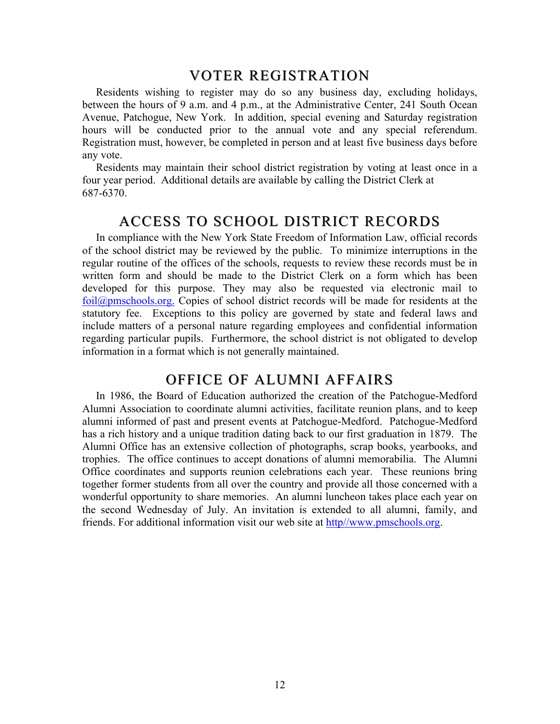#### VOTER REGISTRATION

 Residents wishing to register may do so any business day, excluding holidays, between the hours of 9 a.m. and 4 p.m., at the Administrative Center, 241 South Ocean Avenue, Patchogue, New York. In addition, special evening and Saturday registration hours will be conducted prior to the annual vote and any special referendum. Registration must, however, be completed in person and at least five business days before any vote.

 Residents may maintain their school district registration by voting at least once in a four year period. Additional details are available by calling the District Clerk at 687-6370.

#### ACCESS TO SCHOOL DISTRICT RECORDS

 In compliance with the New York State Freedom of Information Law, official records of the school district may be reviewed by the public. To minimize interruptions in the regular routine of the offices of the schools, requests to review these records must be in written form and should be made to the District Clerk on a form which has been developed for this purpose. They may also be requested via electronic mail to foil@pmschools.org. Copies of school district records will be made for residents at the statutory fee. Exceptions to this policy are governed by state and federal laws and include matters of a personal nature regarding employees and confidential information regarding particular pupils. Furthermore, the school district is not obligated to develop information in a format which is not generally maintained.

## OFFICE OF ALUMNI AFFAIRS

 In 1986, the Board of Education authorized the creation of the Patchogue-Medford Alumni Association to coordinate alumni activities, facilitate reunion plans, and to keep alumni informed of past and present events at Patchogue-Medford. Patchogue-Medford has a rich history and a unique tradition dating back to our first graduation in 1879. The Alumni Office has an extensive collection of photographs, scrap books, yearbooks, and trophies. The office continues to accept donations of alumni memorabilia. The Alumni Office coordinates and supports reunion celebrations each year. These reunions bring together former students from all over the country and provide all those concerned with a wonderful opportunity to share memories. An alumni luncheon takes place each year on the second Wednesday of July. An invitation is extended to all alumni, family, and friends. For additional information visit our web site at http//www.pmschools.org.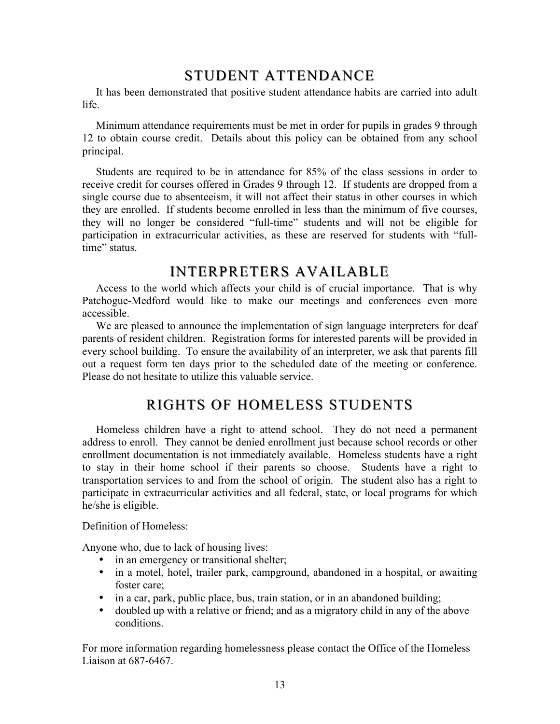## STUDENT ATTENDANCE

 It has been demonstrated that positive student attendance habits are carried into adult life.

 $\overline{1}$ Minimum attendance requirements must be met in order for pupils in grades 9 through 12 to obtain course credit. Details about this policy can be obtained from any school principal.

Students are required to be in attendance for 85% of the class sessions in order to receive credit for courses offered in Grades 9 through 12. If students are dropped from a single course due to absenteeism, it will not affect their status in other courses in which they are enrolled. If students become enrolled in less than the minimum of five courses, they will no longer be considered "full-time" students and will not be eligible for participation in extracurricular activities, as these are reserved for students with "fulltime" status.

## INTERPRETERS AVAILABLE

 Access to the world which affects your child is of crucial importance. That is why Patchogue-Medford would like to make our meetings and conferences even more accessible.

We are pleased to announce the implementation of sign language interpreters for deaf parents of resident children. Registration forms for interested parents will be provided in every school building. To ensure the availability of an interpreter, we ask that parents fill out a request form ten days prior to the scheduled date of the meeting or conference. Please do not hesitate to utilize this valuable service.

## RIGHTS OF HOMELESS STUDENTS

 Homeless children have a right to attend school. They do not need a permanent address to enroll. They cannot be denied enrollment just because school records or other enrollment documentation is not immediately available. Homeless students have a right to stay in their home school if their parents so choose. Students have a right to transportation services to and from the school of origin. The student also has a right to participate in extracurricular activities and all federal, state, or local programs for which he/she is eligible.

#### Definition of Homeless:

Anyone who, due to lack of housing lives:

- in an emergency or transitional shelter;
- in a motel, hotel, trailer park, campground, abandoned in a hospital, or awaiting foster care;
- in a car, park, public place, bus, train station, or in an abandoned building;
- doubled up with a relative or friend; and as a migratory child in any of the above conditions.

For more information regarding homelessness please contact the Office of the Homeless Liaison at 687-6467.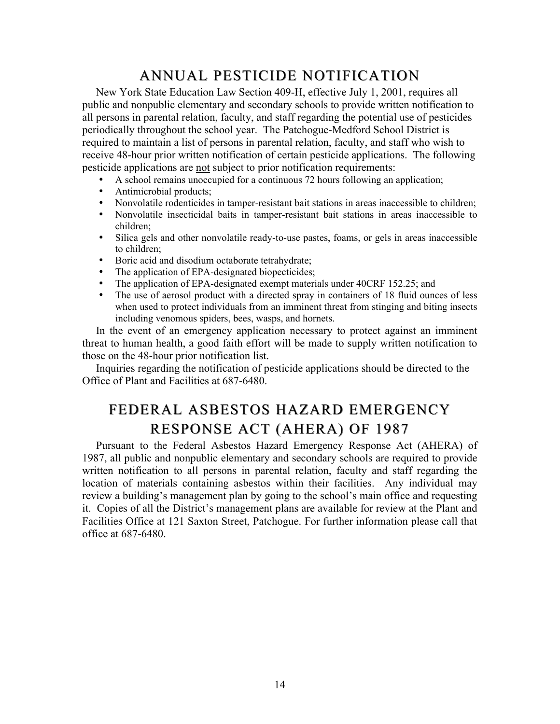## ANNUAL PESTICIDE NOTIFICATION

 New York State Education Law Section 409-H, effective July 1, 2001, requires all public and nonpublic elementary and secondary schools to provide written notification to all persons in parental relation, faculty, and staff regarding the potential use of pesticides periodically throughout the school year. The Patchogue-Medford School District is required to maintain a list of persons in parental relation, faculty, and staff who wish to receive 48-hour prior written notification of certain pesticide applications. The following pesticide applications are not subject to prior notification requirements:

- • A school remains unoccupied for a continuous 72 hours following an application;
- Antimicrobial products;
- • Nonvolatile rodenticides in tamper-resistant bait stations in areas inaccessible to children;
- • Nonvolatile insecticidal baits in tamper-resistant bait stations in areas inaccessible to children;
- • Silica gels and other nonvolatile ready-to-use pastes, foams, or gels in areas inaccessible to children;
- Boric acid and disodium octaborate tetrahydrate;
- The application of EPA-designated biopecticides;
- The application of EPA-designated exempt materials under 40CRF 152.25; and
- The use of aerosol product with a directed spray in containers of 18 fluid ounces of less when used to protect individuals from an imminent threat from stinging and biting insects including venomous spiders, bees, wasps, and hornets.

 In the event of an emergency application necessary to protect against an imminent threat to human health, a good faith effort will be made to supply written notification to those on the 48-hour prior notification list.

Inquiries regarding the notification of pesticide applications should be directed to the Office of Plant and Facilities at 687-6480.

# FEDERAL ASBESTOS HAZARD EMERGENCY RESPONSE ACT (AHERA) OF 1987

 Pursuant to the Federal Asbestos Hazard Emergency Response Act (AHERA) of 1987, all public and nonpublic elementary and secondary schools are required to provide written notification to all persons in parental relation, faculty and staff regarding the location of materials containing asbestos within their facilities. Any individual may review a building's management plan by going to the school's main office and requesting it. Copies of all the District's management plans are available for review at the Plant and Facilities Office at 121 Saxton Street, Patchogue. For further information please call that office at 687-6480.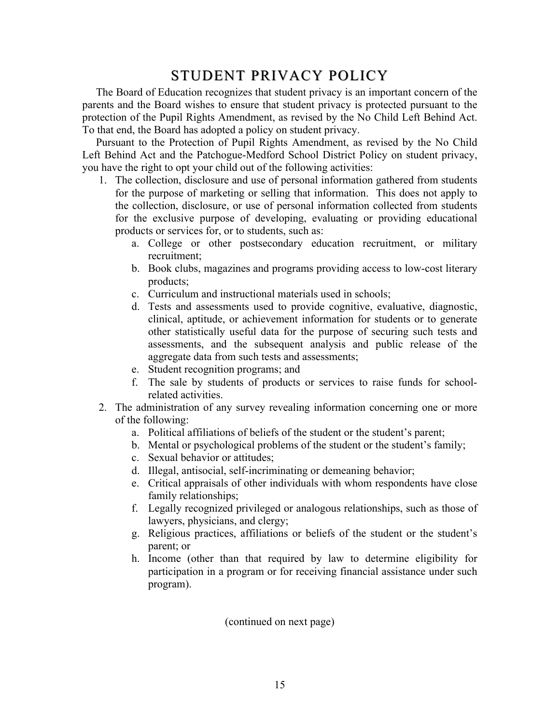## STUDENT PRIVACY POLICY

 The Board of Education recognizes that student privacy is an important concern of the parents and the Board wishes to ensure that student privacy is protected pursuant to the protection of the Pupil Rights Amendment, as revised by the No Child Left Behind Act. To that end, the Board has adopted a policy on student privacy.

 Pursuant to the Protection of Pupil Rights Amendment, as revised by the No Child Left Behind Act and the Patchogue-Medford School District Policy on student privacy, you have the right to opt your child out of the following activities:

- 1. The collection, disclosure and use of personal information gathered from students for the purpose of marketing or selling that information. This does not apply to the collection, disclosure, or use of personal information collected from students for the exclusive purpose of developing, evaluating or providing educational products or services for, or to students, such as:
	- a. College or other postsecondary education recruitment, or military recruitment;
	- b. Book clubs, magazines and programs providing access to low-cost literary products;
	- c. Curriculum and instructional materials used in schools;
	- d. Tests and assessments used to provide cognitive, evaluative, diagnostic, clinical, aptitude, or achievement information for students or to generate other statistically useful data for the purpose of securing such tests and assessments, and the subsequent analysis and public release of the aggregate data from such tests and assessments;
	- e. Student recognition programs; and
	- f. The sale by students of products or services to raise funds for schoolrelated activities.
- 2. The administration of any survey revealing information concerning one or more of the following:
	- a. Political affiliations of beliefs of the student or the student's parent;
	- b. Mental or psychological problems of the student or the student's family;
	- c. Sexual behavior or attitudes;
	- d. Illegal, antisocial, self-incriminating or demeaning behavior;
	- e. Critical appraisals of other individuals with whom respondents have close family relationships;
	- f. Legally recognized privileged or analogous relationships, such as those of lawyers, physicians, and clergy;
	- g. Religious practices, affiliations or beliefs of the student or the student's parent; or
	- h. Income (other than that required by law to determine eligibility for participation in a program or for receiving financial assistance under such program).

(continued on next page)